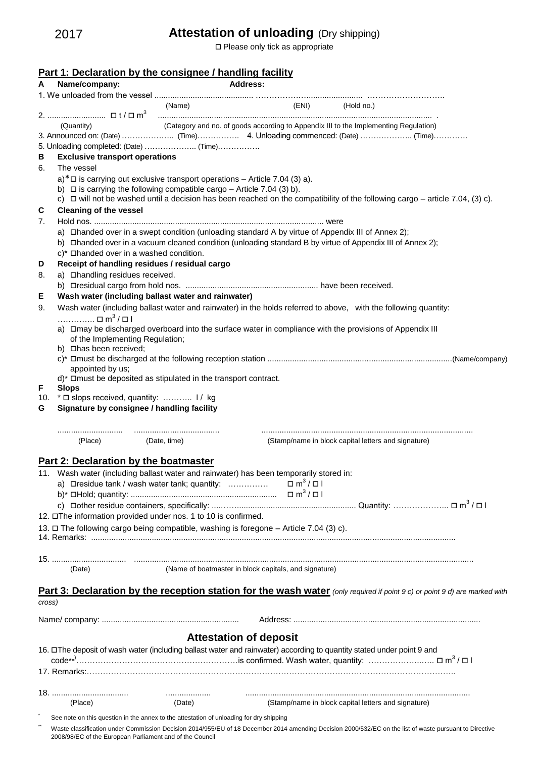## **Attestation of unloading** (Dry shipping)

□ Please only tick as appropriate

|          | Name/company:                                                                                     |              | Address:                                              |                                  |                                                                                                                                    |
|----------|---------------------------------------------------------------------------------------------------|--------------|-------------------------------------------------------|----------------------------------|------------------------------------------------------------------------------------------------------------------------------------|
|          |                                                                                                   | (Name)       |                                                       | (ENI)                            | (Hold no.)                                                                                                                         |
|          |                                                                                                   |              |                                                       |                                  | <u>and the communication of the communication of the communication of the communication</u>                                        |
|          | (Quantity)                                                                                        |              |                                                       |                                  | (Category and no. of goods according to Appendix III to the Implementing Regulation)                                               |
|          |                                                                                                   |              |                                                       |                                  |                                                                                                                                    |
|          |                                                                                                   |              |                                                       |                                  |                                                                                                                                    |
| В        | <b>Exclusive transport operations</b>                                                             |              |                                                       |                                  |                                                                                                                                    |
| 6.       | The vessel                                                                                        |              |                                                       |                                  |                                                                                                                                    |
|          | $a$ <sup>*</sup> $\Box$ is carrying out exclusive transport operations – Article 7.04 (3) a).     |              |                                                       |                                  |                                                                                                                                    |
|          | b) $\Box$ is carrying the following compatible cargo – Article 7.04 (3) b).                       |              |                                                       |                                  |                                                                                                                                    |
|          |                                                                                                   |              |                                                       |                                  | c) $\Box$ will not be washed until a decision has been reached on the compatibility of the following cargo – article 7.04, (3) c). |
| C        | <b>Cleaning of the vessel</b>                                                                     |              |                                                       |                                  |                                                                                                                                    |
| 7.       |                                                                                                   |              |                                                       |                                  |                                                                                                                                    |
|          | a) Dhanded over in a swept condition (unloading standard A by virtue of Appendix III of Annex 2); |              |                                                       |                                  |                                                                                                                                    |
|          | c)* □ handed over in a washed condition.                                                          |              |                                                       |                                  | b) Dhanded over in a vacuum cleaned condition (unloading standard B by virtue of Appendix III of Annex 2);                         |
| D        | Receipt of handling residues / residual cargo                                                     |              |                                                       |                                  |                                                                                                                                    |
| 8.       | a) <b>Dhandling</b> residues received.                                                            |              |                                                       |                                  |                                                                                                                                    |
|          |                                                                                                   |              |                                                       |                                  |                                                                                                                                    |
| Е        | Wash water (including ballast water and rainwater)                                                |              |                                                       |                                  |                                                                                                                                    |
| 9.       |                                                                                                   |              |                                                       |                                  | Wash water (including ballast water and rainwater) in the holds referred to above, with the following quantity:                    |
|          | $\ldots \ldots \ldots \ldots \square$ m <sup>3</sup> / $\square$                                  |              |                                                       |                                  |                                                                                                                                    |
|          |                                                                                                   |              |                                                       |                                  | a) □ may be discharged overboard into the surface water in compliance with the provisions of Appendix III                          |
|          | of the Implementing Regulation;                                                                   |              |                                                       |                                  |                                                                                                                                    |
|          | b) Dhas been received;                                                                            |              |                                                       |                                  |                                                                                                                                    |
|          |                                                                                                   |              |                                                       |                                  |                                                                                                                                    |
|          | appointed by us;                                                                                  |              |                                                       |                                  |                                                                                                                                    |
|          | d) <sup>*</sup> □must be deposited as stipulated in the transport contract.                       |              |                                                       |                                  |                                                                                                                                    |
| F<br>10. | <b>Slops</b><br>* $\Box$ slops received, quantity:  1/ kg                                         |              |                                                       |                                  |                                                                                                                                    |
| G        | Signature by consignee / handling facility                                                        |              |                                                       |                                  |                                                                                                                                    |
|          |                                                                                                   |              |                                                       |                                  |                                                                                                                                    |
|          | (Place)                                                                                           | (Date, time) |                                                       |                                  | (Stamp/name in block capital letters and signature)                                                                                |
|          |                                                                                                   |              |                                                       |                                  |                                                                                                                                    |
|          |                                                                                                   |              |                                                       |                                  |                                                                                                                                    |
|          | <b>Part 2: Declaration by the boatmaster</b>                                                      |              |                                                       |                                  |                                                                                                                                    |
|          | Wash water (including ballast water and rainwater) has been temporarily stored in:                |              |                                                       |                                  |                                                                                                                                    |
|          | a) Dresidue tank / wash water tank; quantity:                                                     |              |                                                       | $\Box$ m <sup>3</sup> / $\Box$ l |                                                                                                                                    |
|          |                                                                                                   |              |                                                       |                                  |                                                                                                                                    |
|          |                                                                                                   |              |                                                       |                                  |                                                                                                                                    |
|          | 12. □The information provided under nos. 1 to 10 is confirmed.                                    |              |                                                       |                                  |                                                                                                                                    |
|          | 13. □ The following cargo being compatible, washing is foregone - Article 7.04 (3) c).            |              |                                                       |                                  |                                                                                                                                    |
|          |                                                                                                   |              |                                                       |                                  |                                                                                                                                    |
|          |                                                                                                   |              |                                                       |                                  |                                                                                                                                    |
|          | (Date)                                                                                            |              | (Name of boatmaster in block capitals, and signature) |                                  |                                                                                                                                    |
|          |                                                                                                   |              |                                                       |                                  |                                                                                                                                    |
|          |                                                                                                   |              |                                                       |                                  | Part 3: Declaration by the reception station for the wash water (only required if point 9 c) or point 9 d) are marked with         |
| cross)   |                                                                                                   |              |                                                       |                                  |                                                                                                                                    |
|          |                                                                                                   |              |                                                       |                                  |                                                                                                                                    |
|          |                                                                                                   |              |                                                       |                                  |                                                                                                                                    |
|          |                                                                                                   |              |                                                       |                                  |                                                                                                                                    |
|          |                                                                                                   |              | <b>Attestation of deposit</b>                         |                                  |                                                                                                                                    |
|          |                                                                                                   |              |                                                       |                                  | 16. □The deposit of wash water (including ballast water and rainwater) according to quantity stated under point 9 and              |
|          |                                                                                                   |              |                                                       |                                  |                                                                                                                                    |
|          |                                                                                                   |              |                                                       |                                  |                                                                                                                                    |
|          |                                                                                                   |              |                                                       |                                  |                                                                                                                                    |
|          | <u>18. </u><br>(Place)                                                                            | (Date)       |                                                       |                                  | (Stamp/name in block capital letters and signature)                                                                                |

Waste classification under Commission Decision 2014/955/EU of 18 December 2014 amending Decision 2000/532/EC on the list of waste pursuant to Directive 2008/98/EC of the European Parliament and of the Council